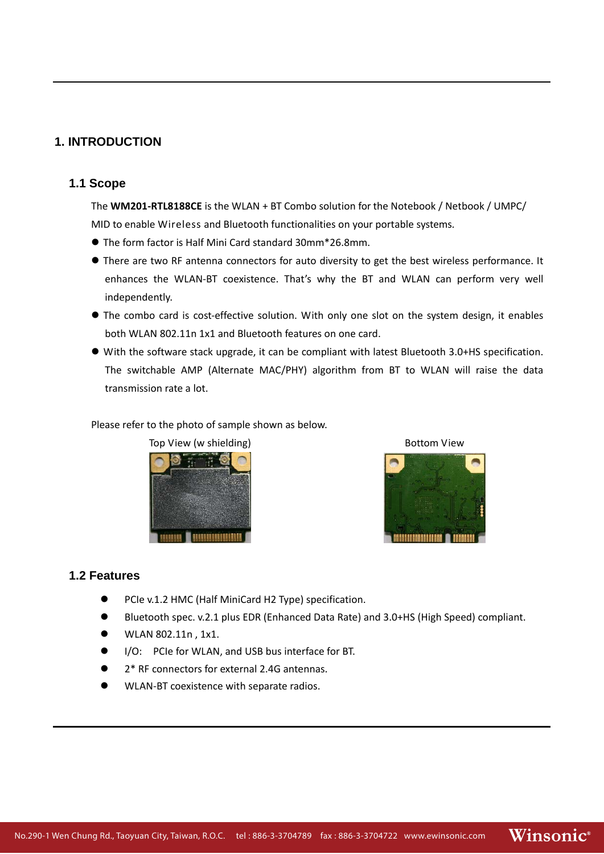### **1. INTRODUCTION**

### **1.1 Scope**

The **WM201-RTL8188CE** is the WLAN + BT Combo solution for the Notebook / Netbook / UMPC/ MID to enable Wireless and Bluetooth functionalities on your portable systems.

- The form factor is Half Mini Card standard 30mm\*26.8mm.
- $\bullet$  There are two RF antenna connectors for auto diversity to get the best wireless performance. It enhances the WLAN‐BT coexistence. That's why the BT and WLAN can perform very well independently.
- The combo card is cost-effective solution. With only one slot on the system design, it enables both WLAN 802.11n 1x1 and Bluetooth features on one card.
- With the software stack upgrade, it can be compliant with latest Bluetooth 3.0+HS specification. The switchable AMP (Alternate MAC/PHY) algorithm from BT to WLAN will raise the data transmission rate a lot.

Please refer to the photo of sample shown as below.





### **1.2 Features**

- PCIe v.1.2 HMC (Half MiniCard H2 Type) specification.
- z Bluetooth spec. v.2.1 plus EDR (Enhanced Data Rate) and 3.0+HS (High Speed) compliant.
- WLAN 802.11n, 1x1.
- I/O: PCIe for WLAN, and USB bus interface for BT.
- 2<sup>\*</sup> RF connectors for external 2.4G antennas.
- WLAN-BT coexistence with separate radios.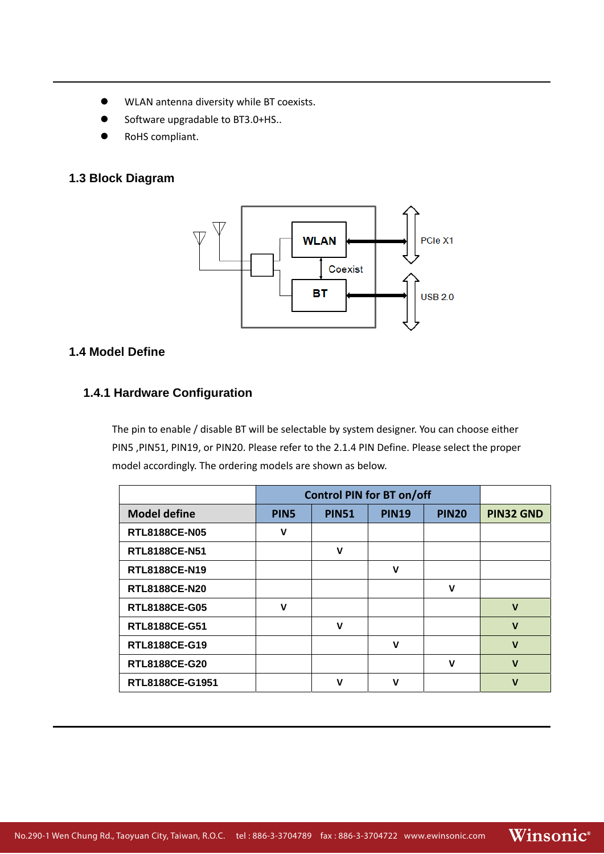- $\bullet$  WLAN antenna diversity while BT coexists.
- Software upgradable to BT3.0+HS..
- RoHS compliant.

# **1.3 Block Diagram**



### **1.4 Model Define**

### **1.4.1 Hardware Configuration**

The pin to enable / disable BT will be selectable by system designer. You can choose either PIN5 ,PIN51, PIN19, or PIN20. Please refer to the 2.1.4 PIN Define. Please select the proper model accordingly. The ordering models are shown as below.

|                      | <b>Control PIN for BT on/off</b> |              |              |              |                  |
|----------------------|----------------------------------|--------------|--------------|--------------|------------------|
| <b>Model define</b>  | PIN <sub>5</sub>                 | <b>PIN51</b> | <b>PIN19</b> | <b>PIN20</b> | <b>PIN32 GND</b> |
| <b>RTL8188CE-N05</b> | v                                |              |              |              |                  |
| <b>RTL8188CE-N51</b> |                                  | v            |              |              |                  |
| RTL8188CE-N19        |                                  |              | $\mathbf v$  |              |                  |
| <b>RTL8188CE-N20</b> |                                  |              |              | v            |                  |
| <b>RTL8188CE-G05</b> | v                                |              |              |              | $\mathbf v$      |
| <b>RTL8188CE-G51</b> |                                  | v            |              |              | $\mathbf v$      |
| RTL8188CE-G19        |                                  |              | v            |              | $\mathbf{V}$     |
| <b>RTL8188CE-G20</b> |                                  |              |              | v            | $\mathbf v$      |
| RTL8188CE-G1951      |                                  | v            | $\mathbf v$  |              | $\mathbf v$      |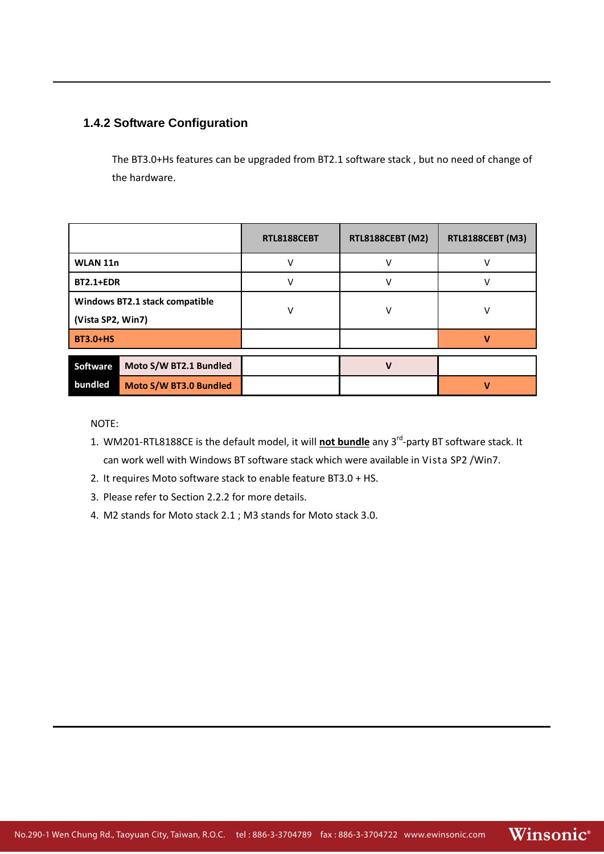# **1.4.2 Software Configuration**

The BT3.0+Hs features can be upgraded from BT2.1 software stack , but no need of change of the hardware.

|                                           | RTL8188CEBT | RTL8188CEBT (M2) | <b>RTL8188CEBT (M3)</b> |
|-------------------------------------------|-------------|------------------|-------------------------|
| WLAN 11n                                  |             |                  |                         |
| <b>BT2.1+EDR</b>                          |             |                  |                         |
| Windows BT2.1 stack compatible            | v           | v                |                         |
| (Vista SP2, Win7)                         |             |                  |                         |
| <b>BT3.0+HS</b>                           |             |                  |                         |
| Moto S/W BT2.1 Bundled<br><b>Software</b> |             |                  |                         |
| bundled<br>Moto S/W BT3.0 Bundled         |             |                  |                         |

NOTE:

- 1. WM201-RTL8188CE is the default model, it will **not bundle** any 3<sup>rd</sup>-party BT software stack. It can work well with Windows BT software stack which were available in Vista SP2 /Win7.
- 2. It requires Moto software stack to enable feature BT3.0 + HS.
- 3. Please refer to Section 2.2.2 for more details.
- 4. M2 stands for Moto stack 2.1 ; M3 stands for Moto stack 3.0.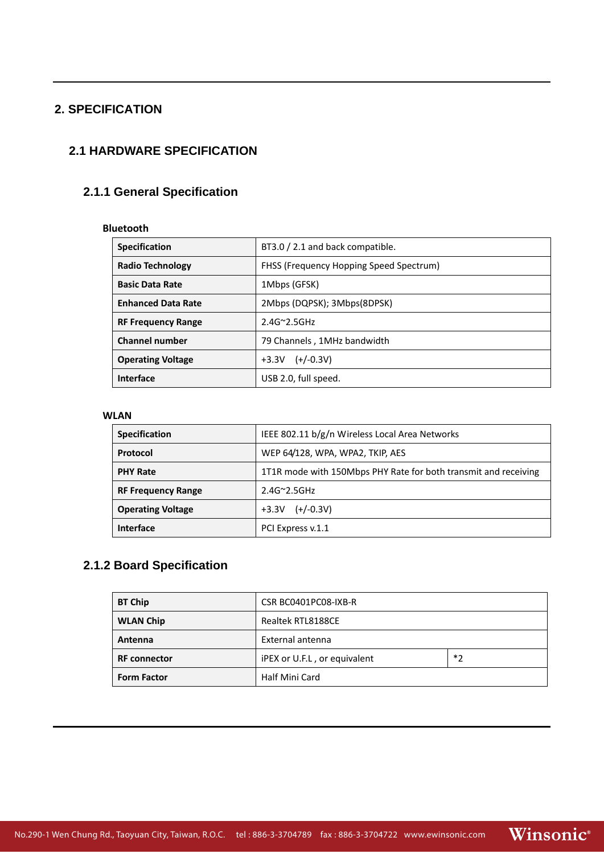# **2. SPECIFICATION**

# **2.1 HARDWARE SPECIFICATION**

# **2.1.1 General Specification**

### **Bluetooth**

| <b>Specification</b>      | BT3.0 / 2.1 and back compatible.        |  |
|---------------------------|-----------------------------------------|--|
| Radio Technology          | FHSS (Frequency Hopping Speed Spectrum) |  |
| <b>Basic Data Rate</b>    | 1Mbps (GFSK)                            |  |
| <b>Enhanced Data Rate</b> | 2Mbps (DQPSK); 3Mbps(8DPSK)             |  |
| <b>RF Frequency Range</b> | $2.4G^{\sim}2.5GHz$                     |  |
| <b>Channel number</b>     | 79 Channels, 1MHz bandwidth             |  |
| <b>Operating Voltage</b>  | $(+/-0.3V)$<br>$+3.3V$                  |  |
| Interface                 | USB 2.0, full speed.                    |  |

#### **WLAN**

| <b>Specification</b>      | IEEE 802.11 b/g/n Wireless Local Area Networks                  |
|---------------------------|-----------------------------------------------------------------|
| Protocol                  | WEP 64/128, WPA, WPA2, TKIP, AES                                |
| <b>PHY Rate</b>           | 1T1R mode with 150Mbps PHY Rate for both transmit and receiving |
| <b>RF Frequency Range</b> | $2.4G^{\sim}2.5GHz$                                             |
| <b>Operating Voltage</b>  | $(+/-0.3V)$<br>$+3.3V$                                          |
| <b>Interface</b>          | PCI Express v.1.1                                               |

# **2.1.2 Board Specification**

| <b>BT Chip</b>      | CSR BC0401PC08-IXB-R                    |  |  |
|---------------------|-----------------------------------------|--|--|
| <b>WLAN Chip</b>    | Realtek RTL8188CE                       |  |  |
| Antenna             | External antenna                        |  |  |
| <b>RF</b> connector | $*_{2}$<br>iPEX or U.F.L, or equivalent |  |  |
| <b>Form Factor</b>  | Half Mini Card                          |  |  |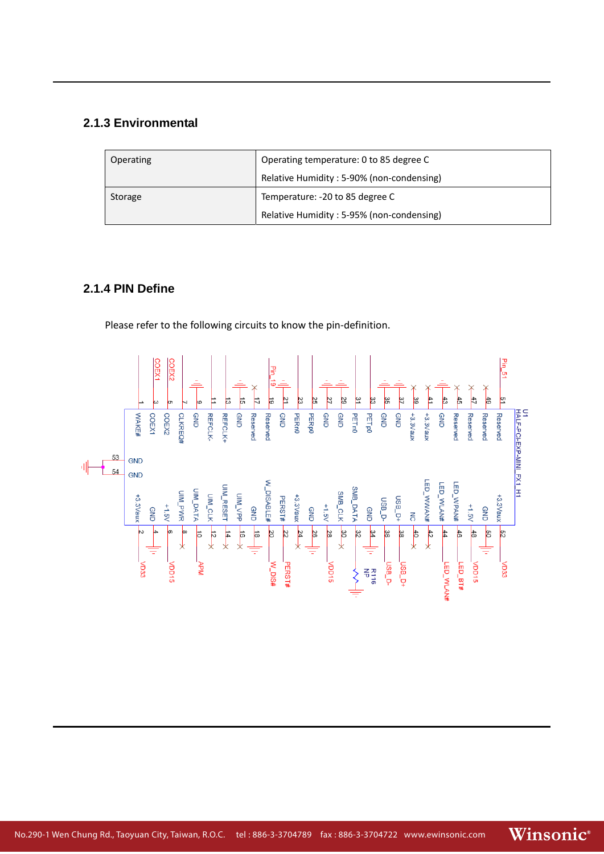# **2.1.3 Environmental**

| Operating | Operating temperature: 0 to 85 degree C   |  |
|-----------|-------------------------------------------|--|
|           | Relative Humidity: 5-90% (non-condensing) |  |
| Storage   | Temperature: -20 to 85 degree C           |  |
|           | Relative Humidity: 5-95% (non-condensing) |  |

# **2.1.4 PIN Define**

Please refer to the following circuits to know the pin‐definition.

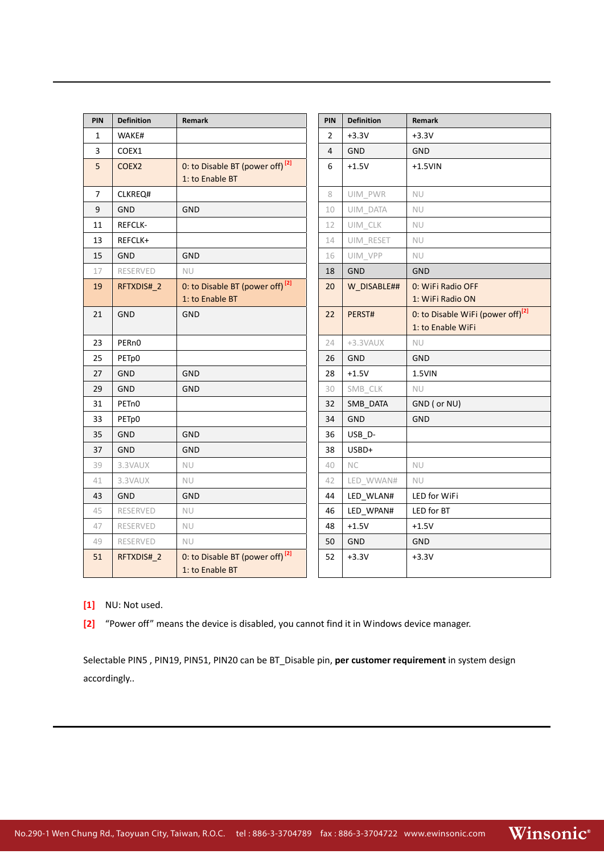| <b>PIN</b>   | <b>Definition</b>  | Remark                                      | <b>PIN</b>     | <b>Definition</b> | Remark                                        |
|--------------|--------------------|---------------------------------------------|----------------|-------------------|-----------------------------------------------|
| $\mathbf{1}$ | WAKE#              |                                             | $\overline{2}$ | $+3.3V$           | $+3.3V$                                       |
| 3            | COEX1              |                                             | 4              | GND               | <b>GND</b>                                    |
| 5            | COEX <sub>2</sub>  | 0: to Disable BT (power off) <sup>[2]</sup> | 6              | $+1.5V$           | $+1.5$ VIN                                    |
|              |                    | 1: to Enable BT                             |                |                   |                                               |
| 7            | CLKREQ#            |                                             | 8              | UIM_PWR           | NU                                            |
| 9            | <b>GND</b>         | <b>GND</b>                                  | 10             | UIM_DATA          | NU                                            |
| 11           | <b>REFCLK-</b>     |                                             | 12             | UIM_CLK           | <b>NU</b>                                     |
| 13           | REFCLK+            |                                             | 14             | UIM_RESET         | NU                                            |
| 15           | <b>GND</b>         | <b>GND</b>                                  | 16             | UIM_VPP           | <b>NU</b>                                     |
| 17           | RESERVED           | <b>NU</b>                                   | 18             | <b>GND</b>        | <b>GND</b>                                    |
| 19           | RFTXDIS#_2         | 0: to Disable BT (power off) <sup>[2]</sup> | 20             | W_DISABLE##       | 0: WiFi Radio OFF                             |
|              |                    | 1: to Enable BT                             |                |                   | 1: WiFi Radio ON                              |
| 21           | GND                | GND                                         | 22             | PERST#            | 0: to Disable WiFi (power off) <sup>[2]</sup> |
|              |                    |                                             |                |                   | 1: to Enable WiFi                             |
| 23           | PER <sub>n0</sub>  |                                             | 24             | +3.3VAUX          | <b>NU</b>                                     |
| 25           | PETp0              |                                             | 26             | GND               | GND                                           |
| 27           | <b>GND</b>         | <b>GND</b>                                  | 28             | $+1.5V$           | 1.5VIN                                        |
| 29           | <b>GND</b>         | <b>GND</b>                                  | 30             | SMB_CLK           | <b>NU</b>                                     |
| 31           | PET <sub>n</sub> 0 |                                             | 32             | SMB DATA          | GND ( or NU)                                  |
| 33           | PET <sub>p</sub> 0 |                                             | 34             | <b>GND</b>        | <b>GND</b>                                    |
| 35           | <b>GND</b>         | GND                                         | 36             | USB_D-            |                                               |
| 37           | <b>GND</b>         | <b>GND</b>                                  | 38             | USBD+             |                                               |
| 39           | 3.3VAUX            | <b>NU</b>                                   | 40             | <b>NC</b>         | <b>NU</b>                                     |
| 41           | 3.3VAUX            | <b>NU</b>                                   | 42             | LED_WWAN#         | <b>NU</b>                                     |
| 43           | <b>GND</b>         | GND                                         | 44             | LED_WLAN#         | LED for WiFi                                  |
| 45           | RESERVED           | <b>NU</b>                                   | 46             | LED_WPAN#         | LED for BT                                    |
| 47           | RESERVED           | <b>NU</b>                                   | 48             | $+1.5V$           | $+1.5V$                                       |
| 49           | RESERVED           | <b>NU</b>                                   | 50             | GND               | <b>GND</b>                                    |
| 51           | RFTXDIS# 2         | 0: to Disable BT (power off) <sup>[2]</sup> | 52             | $+3.3V$           | $+3.3V$                                       |
|              |                    | 1: to Enable BT                             |                |                   |                                               |

**[1]** NU: Not used.

**[2]** "Power off" means the device is disabled, you cannot find it in Windows device manager.

Selectable PIN5 , PIN19, PIN51, PIN20 can be BT\_Disable pin, **per customer requirement** in system design accordingly..

Winsonic®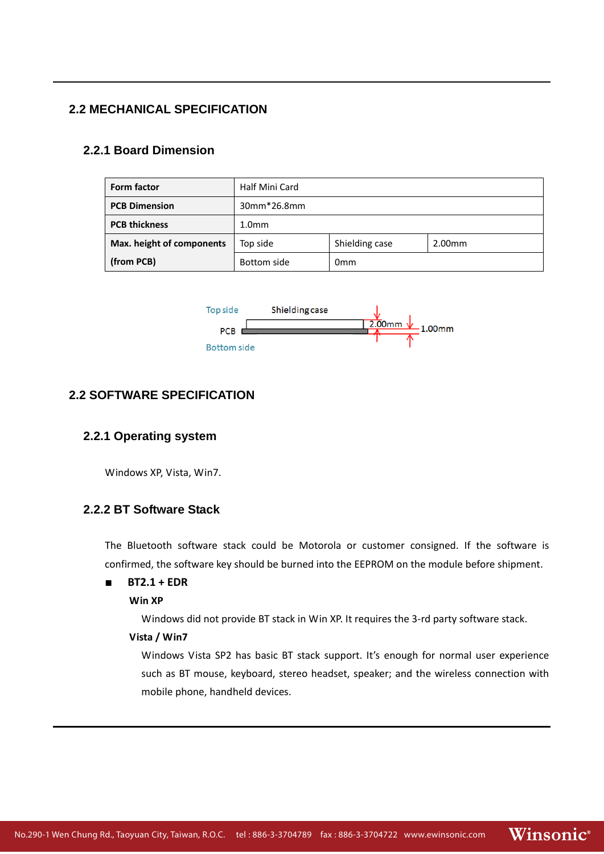# **2.2 MECHANICAL SPECIFICATION**

### **2.2.1 Board Dimension**

| Form factor               | Half Mini Card                                   |  |  |  |  |
|---------------------------|--------------------------------------------------|--|--|--|--|
| <b>PCB Dimension</b>      | 30mm*26.8mm                                      |  |  |  |  |
| <b>PCB thickness</b>      | 1.0 <sub>mm</sub>                                |  |  |  |  |
| Max. height of components | Shielding case<br>Top side<br>2.00 <sub>mm</sub> |  |  |  |  |
| (from PCB)                | Bottom side<br>0 <sub>mm</sub>                   |  |  |  |  |



# **2.2 SOFTWARE SPECIFICATION**

#### **2.2.1 Operating system**

Windows XP, Vista, Win7.

# **2.2.2 BT Software Stack**

The Bluetooth software stack could be Motorola or customer consigned. If the software is confirmed, the software key should be burned into the EEPROM on the module before shipment.

#### ■ **BT2.1 + EDR**

#### **Win XP**

Windows did not provide BT stack in Win XP. It requires the 3‐rd party software stack.

#### **Vista / Win7**

Windows Vista SP2 has basic BT stack support. It's enough for normal user experience such as BT mouse, keyboard, stereo headset, speaker; and the wireless connection with mobile phone, handheld devices.